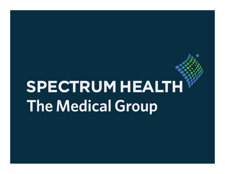# **SPECTRUM HEALTH The Medical Group**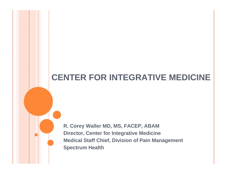## **CENTER FOR INTEGRATIVE MEDICINE**

**R. Corey Waller MD, MS, FACEP, ABAM Director, Center for Integrative Medicine Medical Staff Chief, Division of Pain Management Spectrum Health**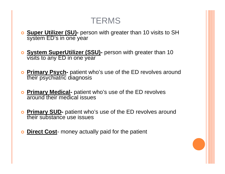### **TERMS**

- | **Super Utilizer (SU)-** person with greater than 10 visits to SH system ED's in one year
- **o System SuperUtilizer (SSU)** person with greater than 10 visits to any ED in one year
- | **Primary Psych-** patient who's use of the ED revolves around their psychiatric diagnosis
- **o Primary Medical-** patient who's use of the ED revolves around their medical issues
- **o Primary SUD-** patient who's use of the ED revolves around their substance use issues
- **o** Direct Cost- money actually paid for the patient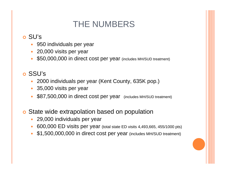# THE NUMBERS

#### o SU's

- $\bullet$ 950 individuals per year
- $\bullet$ 20,000 visits per year
- $\bullet$ \$50,000,000 in direct cost per year (includes MH/SUD treatment)

#### o SSU's

- $\bullet$ 2000 individuals per year (Kent County, 635K pop.)
- $\bullet$ 35,000 visits per year
- $\bullet$ \$87,500,000 in direct cost per year (includes MH/SUD treatment)

#### **o** State wide extrapolation based on population

- $\bullet$ 29,000 individuals per year
- $\bullet$ 600,000 ED visits per year (total state ED visits 4,493,665, 455/1000 pts)
- $\bullet$ \$1,500,000,000 in direct cost per year (includes MH/SUD treatment)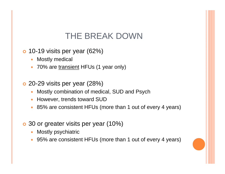## THE BREAK DOWN

- $\bullet$  10-19 visits per year (62%)
	- $\bullet$ Mostly medical
	- $\bullet$ 70% are transient HFUs (1 year only)
- **o** 20-29 visits per year (28%)
	- $\bullet$ Mostly combination of medical, SUD and Psych
	- $\bullet$ However, trends toward SUD
	- $\bullet$ 85% are consistent HFUs (more than 1 out of every 4 years)
- **o** 30 or greater visits per year (10%)
	- $\bullet$ Mostly psychiatric
	- 95% are consistent HFUs (more than 1 out of every 4 years)

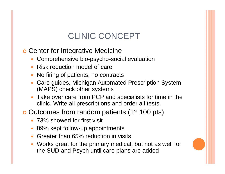# CLINIC CONCEPT

**o Center for Integrative Medicine** 

- Comprehensive bio-psycho-social evaluation
- Risk reduction model of care
- $\bullet$ No firing of patients, no contracts
- Care guides, Michigan Automated Prescription System (MAPS) check other systems
- Take over care from PCP and specialists for time in the clinic. Write all prescriptions and order all tests.

**o** Outcomes from random patients (1<sup>st</sup> 100 pts)

- 73% showed for first visit
- $\bullet$ 89% kept follow-up appointments
- $\bullet$ Greater than 65% reduction in visits
- Works great for the primary medical, but not as well for the SUD and Psych until care plans are added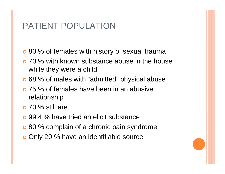## PATIENT POPULATION

- **o** 80 % of females with history of sexual trauma
- **o** 70 % with known substance abuse in the house while they were a child
- **o** 68 % of males with "admitted" physical abuse
- **o** 75 % of females have been in an abusive relationship
- $\bullet$  70 % still are
- **o** 99.4 % have tried an elicit substance
- **o** 80 % complain of a chronic pain syndrome
- o Only 20 % have an identifiable source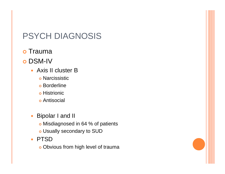# PSYCH DIAGNOSIS

- o Trauma
- $\Omega$  DSM-IV
	- Axis II cluster B
		- o Narcissistic
		- **o** Borderline
		- o Histrionic
		- **o** Antisocial
	- $\bullet$  Bipolar I and II
		- o Misdiagnosed in 64 % of patients
		- o Usually secondary to SUD
	- $\bullet$ • PTSD
		- o Obvious from high level of trauma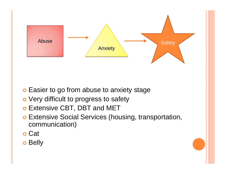

- **o** Easier to go from abuse to anxiety stage
- **o** Very difficult to progress to safety
- **o** Extensive CBT, DBT and MET
- **o Extensive Social Services (housing, transportation,** communication)
- o Cat
- $\bullet$ Belly